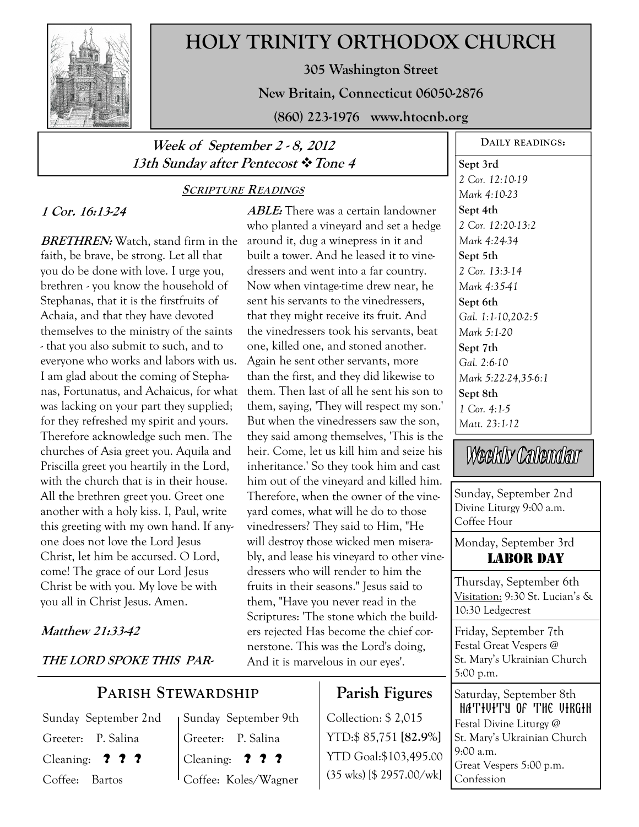

# **HOLY TRINITY ORTHODOX CHURCH**

**305 Washington Street** 

**New Britain, Connecticut 06050-2876** 

**(860) 223-1976 www.htocnb.org** 

# **Week of September 2 - 8, 2012 13th Sunday after Pentecost Tone 4**

#### **SCRIPTURE READINGS**

# **1 Cor. 16:13-24**

**BRETHREN:** Watch, stand firm in the faith, be brave, be strong. Let all that you do be done with love. I urge you, brethren - you know the household of Stephanas, that it is the firstfruits of Achaia, and that they have devoted themselves to the ministry of the saints - that you also submit to such, and to everyone who works and labors with us. I am glad about the coming of Stephanas, Fortunatus, and Achaicus, for what was lacking on your part they supplied; for they refreshed my spirit and yours. Therefore acknowledge such men. The churches of Asia greet you. Aquila and Priscilla greet you heartily in the Lord, with the church that is in their house. All the brethren greet you. Greet one another with a holy kiss. I, Paul, write this greeting with my own hand. If anyone does not love the Lord Jesus Christ, let him be accursed. O Lord, come! The grace of our Lord Jesus Christ be with you. My love be with you all in Christ Jesus. Amen.

### **Matthew 21:33-42**

**THE LORD SPOKE THIS PAR-**

**PARISH STEWARDSHIP**

Sunday September 2nd Greeter: P. Salina Cleaning: **? ? ?** Coffee: Bartos

Sunday September 9th Greeter: P. Salina Cleaning: **? ? ?** Coffee: Koles/Wagner

**ABLE:** There was a certain landowner who planted a vineyard and set a hedge around it, dug a winepress in it and built a tower. And he leased it to vinedressers and went into a far country. Now when vintage-time drew near, he sent his servants to the vinedressers, that they might receive its fruit. And the vinedressers took his servants, beat one, killed one, and stoned another. Again he sent other servants, more than the first, and they did likewise to them. Then last of all he sent his son to them, saying, 'They will respect my son.' But when the vinedressers saw the son, they said among themselves, 'This is the heir. Come, let us kill him and seize his inheritance.' So they took him and cast him out of the vineyard and killed him. Therefore, when the owner of the vineyard comes, what will he do to those vinedressers? They said to Him, "He will destroy those wicked men miserably, and lease his vineyard to other vinedressers who will render to him the fruits in their seasons." Jesus said to them, "Have you never read in the Scriptures: 'The stone which the builders rejected Has become the chief cornerstone. This was the Lord's doing, And it is marvelous in our eyes'.

# **Parish Figures**

Collection: \$ 2,015 YTD:\$ 85,751 **[82.9%]** YTD Goal:\$103,495.00 (35 wks) [\$ 2957.00/wk]

**DAILY READINGS:** 

**Sept 3rd** 

*2 Cor. 12:10-19 Mark 4:10-23*  **Sept 4th**  *2 Cor. 12:20-13:2 Mark 4:24-34*  **Sept 5th**  *2 Cor. 13:3-14 Mark 4:35-41*  **Sept 6th**  *Gal. 1:1-10,20-2:5 Mark 5:1-20*  **Sept 7th**  *Gal. 2:6-10 Mark 5:22-24,35-6:1*  **Sept 8th**  *1 Cor. 4:1-5 Matt. 23:1-12* 

Weekly Calendar

Sunday, September 2nd Divine Liturgy 9:00 a.m. Coffee Hour

Monday, September 3rd LABOR DAY

Thursday, September 6th Visitation: 9:30 St. Lucian's & 10:30 Ledgecrest

Friday, September 7th Festal Great Vespers @ St. Mary's Ukrainian Church 5:00 p.m.

Saturday, September 8th Nativity of the Virgin Festal Divine Liturgy @ St. Mary's Ukrainian Church 9:00 a.m. Great Vespers 5:00 p.m. Confession